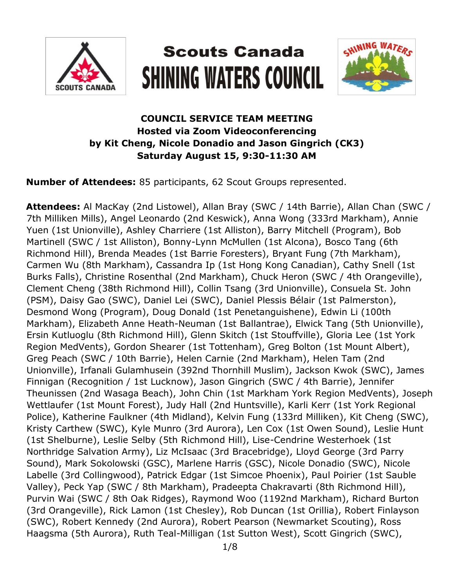

# **Scouts Canada SHINING WATERS COUNCIL**



# **COUNCIL SERVICE TEAM MEETING Hosted via Zoom Videoconferencing by Kit Cheng, Nicole Donadio and Jason Gingrich (CK3) Saturday August 15, 9:30-11:30 AM**

**Number of Attendees:** 85 participants, 62 Scout Groups represented.

**Attendees:** Al MacKay (2nd Listowel), Allan Bray (SWC / 14th Barrie), Allan Chan (SWC / 7th Milliken Mills), Angel Leonardo (2nd Keswick), Anna Wong (333rd Markham), Annie Yuen (1st Unionville), Ashley Charriere (1st Alliston), Barry Mitchell (Program), Bob Martinell (SWC / 1st Alliston), Bonny-Lynn McMullen (1st Alcona), Bosco Tang (6th Richmond Hill), Brenda Meades (1st Barrie Foresters), Bryant Fung (7th Markham), Carmen Wu (8th Markham), Cassandra Ip (1st Hong Kong Canadian), Cathy Snell (1st Burks Falls), Christine Rosenthal (2nd Markham), Chuck Heron (SWC / 4th Orangeville), Clement Cheng (38th Richmond Hill), Collin Tsang (3rd Unionville), Consuela St. John (PSM), Daisy Gao (SWC), Daniel Lei (SWC), Daniel Plessis Bélair (1st Palmerston), Desmond Wong (Program), Doug Donald (1st Penetanguishene), Edwin Li (100th Markham), Elizabeth Anne Heath-Neuman (1st Ballantrae), Elwick Tang (5th Unionville), Ersin Kutluoglu (8th Richmond Hill), Glenn Skitch (1st Stouffville), Gloria Lee (1st York Region MedVents), Gordon Shearer (1st Tottenham), Greg Bolton (1st Mount Albert), Greg Peach (SWC / 10th Barrie), Helen Carnie (2nd Markham), Helen Tam (2nd Unionville), Irfanali Gulamhusein (392nd Thornhill Muslim), Jackson Kwok (SWC), James Finnigan (Recognition / 1st Lucknow), Jason Gingrich (SWC / 4th Barrie), Jennifer Theunissen (2nd Wasaga Beach), John Chin (1st Markham York Region MedVents), Joseph Wettlaufer (1st Mount Forest), Judy Hall (2nd Huntsville), Karli Kerr (1st York Regional Police), Katherine Faulkner (4th Midland), Kelvin Fung (133rd Milliken), Kit Cheng (SWC), Kristy Carthew (SWC), Kyle Munro (3rd Aurora), Len Cox (1st Owen Sound), Leslie Hunt (1st Shelburne), Leslie Selby (5th Richmond Hill), Lise-Cendrine Westerhoek (1st Northridge Salvation Army), Liz McIsaac (3rd Bracebridge), Lloyd George (3rd Parry Sound), Mark Sokolowski (GSC), Marlene Harris (GSC), Nicole Donadio (SWC), Nicole Labelle (3rd Collingwood), Patrick Edgar (1st Simcoe Phoenix), Paul Poirier (1st Sauble Valley), Peck Yap (SWC / 8th Markham), Pradeepta Chakravarti (8th Richmond Hill), Purvin Wai (SWC / 8th Oak Ridges), Raymond Woo (1192nd Markham), Richard Burton (3rd Orangeville), Rick Lamon (1st Chesley), Rob Duncan (1st Orillia), Robert Finlayson (SWC), Robert Kennedy (2nd Aurora), Robert Pearson (Newmarket Scouting), Ross Haagsma (5th Aurora), Ruth Teal-Milligan (1st Sutton West), Scott Gingrich (SWC),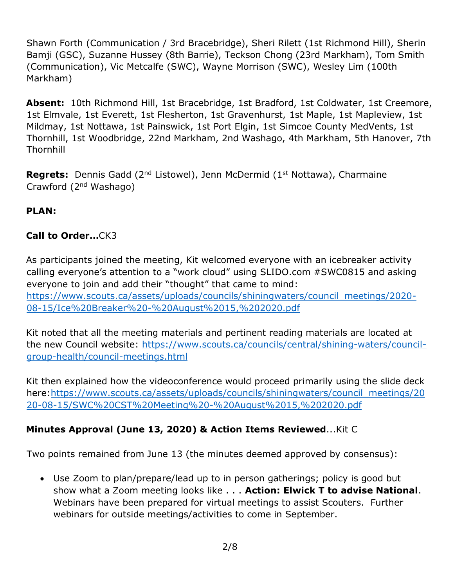Shawn Forth (Communication / 3rd Bracebridge), Sheri Rilett (1st Richmond Hill), Sherin Bamji (GSC), Suzanne Hussey (8th Barrie), Teckson Chong (23rd Markham), Tom Smith (Communication), Vic Metcalfe (SWC), Wayne Morrison (SWC), Wesley Lim (100th Markham)

**Absent:** 10th Richmond Hill, 1st Bracebridge, 1st Bradford, 1st Coldwater, 1st Creemore, 1st Elmvale, 1st Everett, 1st Flesherton, 1st Gravenhurst, 1st Maple, 1st Mapleview, 1st Mildmay, 1st Nottawa, 1st Painswick, 1st Port Elgin, 1st Simcoe County MedVents, 1st Thornhill, 1st Woodbridge, 22nd Markham, 2nd Washago, 4th Markham, 5th Hanover, 7th **Thornhill** 

**Regrets:** Dennis Gadd (2<sup>nd</sup> Listowel), Jenn McDermid (1<sup>st</sup> Nottawa), Charmaine Crawford (2nd Washago)

# **PLAN:**

### **Call to Order…**CK3

As participants joined the meeting, Kit welcomed everyone with an icebreaker activity calling everyone's attention to a "work cloud" using SLIDO.com #SWC0815 and asking everyone to join and add their "thought" that came to mind: [https://www.scouts.ca/assets/uploads/councils/shiningwaters/council\\_meetings/2020-](https://www.scouts.ca/assets/uploads/councils/shiningwaters/council_meetings/2020-08-15/Ice%20Breaker%20-%20August%2015,%202020.pdf) [08-15/Ice%20Breaker%20-%20August%2015,%202020.pdf](https://www.scouts.ca/assets/uploads/councils/shiningwaters/council_meetings/2020-08-15/Ice%20Breaker%20-%20August%2015,%202020.pdf)

Kit noted that all the meeting materials and pertinent reading materials are located at the new Council website: [https://www.scouts.ca/councils/central/shining-waters/council](https://www.scouts.ca/councils/central/shining-waters/council-group-health/council-meetings.html)[group-health/council-meetings.html](https://www.scouts.ca/councils/central/shining-waters/council-group-health/council-meetings.html)

Kit then explained how the videoconference would proceed primarily using the slide deck here[:https://www.scouts.ca/assets/uploads/councils/shiningwaters/council\\_meetings/20](https://www.scouts.ca/assets/uploads/councils/shiningwaters/council_meetings/2020-08-15/SWC%20CST%20Meeting%20-%20August%2015,%202020.pdf) [20-08-15/SWC%20CST%20Meeting%20-%20August%2015,%202020.pdf](https://www.scouts.ca/assets/uploads/councils/shiningwaters/council_meetings/2020-08-15/SWC%20CST%20Meeting%20-%20August%2015,%202020.pdf)

# **Minutes Approval (June 13, 2020) & Action Items Reviewed**...Kit C

Two points remained from June 13 (the minutes deemed approved by consensus):

 Use Zoom to plan/prepare/lead up to in person gatherings; policy is good but show what a Zoom meeting looks like . . . **Action: Elwick T to advise National**. Webinars have been prepared for virtual meetings to assist Scouters. Further webinars for outside meetings/activities to come in September.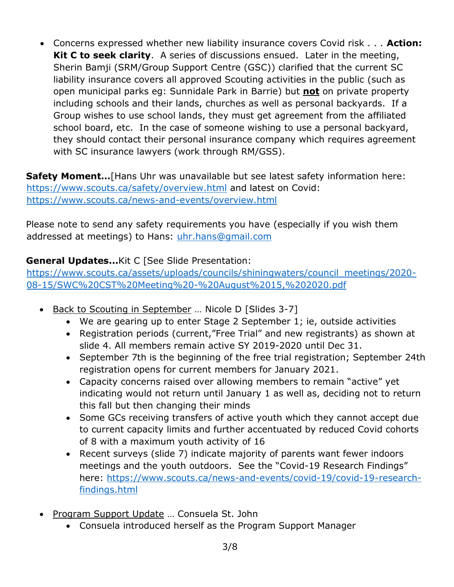Concerns expressed whether new liability insurance covers Covid risk . . . **Action: Kit C to seek clarity**. A series of discussions ensued. Later in the meeting, Sherin Bamji (SRM/Group Support Centre (GSC)) clarified that the current SC liability insurance covers all approved Scouting activities in the public (such as open municipal parks eg: Sunnidale Park in Barrie) but **not** on private property including schools and their lands, churches as well as personal backyards. If a Group wishes to use school lands, they must get agreement from the affiliated school board, etc. In the case of someone wishing to use a personal backyard, they should contact their personal insurance company which requires agreement with SC insurance lawyers (work through RM/GSS).

**Safety Moment…**[Hans Uhr was unavailable but see latest safety information here: <https://www.scouts.ca/safety/overview.html> and latest on Covid: <https://www.scouts.ca/news-and-events/overview.html>

Please note to send any safety requirements you have (especially if you wish them addressed at meetings) to Hans: [uhr.hans@gmail.com](mailto:uhr.hans@gmail.com)

# **General Updates...**Kit C [See Slide Presentation:

[https://www.scouts.ca/assets/uploads/councils/shiningwaters/council\\_meetings/2020-](https://www.scouts.ca/assets/uploads/councils/shiningwaters/council_meetings/2020-08-15/SWC%20CST%20Meeting%20-%20August%2015,%202020.pdf) [08-15/SWC%20CST%20Meeting%20-%20August%2015,%202020.pdf](https://www.scouts.ca/assets/uploads/councils/shiningwaters/council_meetings/2020-08-15/SWC%20CST%20Meeting%20-%20August%2015,%202020.pdf)

- Back to Scouting in September ... Nicole D [Slides 3-7]
	- We are gearing up to enter Stage 2 September 1; ie, outside activities
	- Registration periods (current,"Free Trial" and new registrants) as shown at slide 4. All members remain active SY 2019-2020 until Dec 31.
	- September 7th is the beginning of the free trial registration; September 24th registration opens for current members for January 2021.
	- Capacity concerns raised over allowing members to remain "active" yet indicating would not return until January 1 as well as, deciding not to return this fall but then changing their minds
	- Some GCs receiving transfers of active youth which they cannot accept due to current capacity limits and further accentuated by reduced Covid cohorts of 8 with a maximum youth activity of 16
	- Recent surveys (slide 7) indicate majority of parents want fewer indoors meetings and the youth outdoors. See the "Covid-19 Research Findings" here: [https://www.scouts.ca/news-and-events/covid-19/covid-19-research](https://www.scouts.ca/news-and-events/covid-19/covid-19-research-findings.html)[findings.html](https://www.scouts.ca/news-and-events/covid-19/covid-19-research-findings.html)
- Program Support Update ... Consuela St. John
	- Consuela introduced herself as the Program Support Manager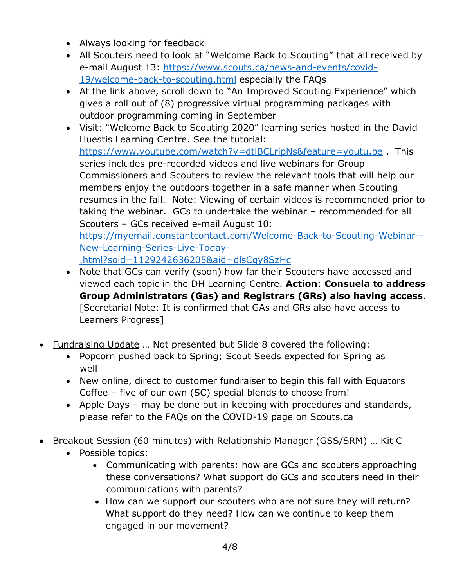- Always looking for feedback
- All Scouters need to look at "Welcome Back to Scouting" that all received by e-mail August 13: [https://www.scouts.ca/news-and-events/covid-](https://www.scouts.ca/news-and-events/covid-19/welcome-back-to-scouting.html)[19/welcome-back-to-scouting.html](https://www.scouts.ca/news-and-events/covid-19/welcome-back-to-scouting.html) especially the FAQs
- At the link above, scroll down to "An Improved Scouting Experience" which gives a roll out of (8) progressive virtual programming packages with outdoor programming coming in September
- Visit: "Welcome Back to Scouting 2020" learning series hosted in the David Huestis Learning Centre. See the tutorial: <https://www.youtube.com/watch?v=dtlBCLripNs&feature=youtu.be> . This series includes pre-recorded videos and live webinars for Group Commissioners and Scouters to review the relevant tools that will help our members enjoy the outdoors together in a safe manner when Scouting resumes in the fall. Note: Viewing of certain videos is recommended prior to taking the webinar. GCs to undertake the webinar – recommended for all Scouters – GCs received e-mail August 10: [https://myemail.constantcontact.com/Welcome-Back-to-Scouting-Webinar--](https://myemail.constantcontact.com/Welcome-Back-to-Scouting-Webinar--New-Learning-Series-Live-Today-.html?soid=1129242636205&aid=dlsCgy8SzHc) [New-Learning-Series-Live-Today-](https://myemail.constantcontact.com/Welcome-Back-to-Scouting-Webinar--New-Learning-Series-Live-Today-.html?soid=1129242636205&aid=dlsCgy8SzHc) [.html?soid=1129242636205&aid=dlsCgy8SzHc](https://myemail.constantcontact.com/Welcome-Back-to-Scouting-Webinar--New-Learning-Series-Live-Today-.html?soid=1129242636205&aid=dlsCgy8SzHc)
- Note that GCs can verify (soon) how far their Scouters have accessed and viewed each topic in the DH Learning Centre. **Action**: **Consuela to address Group Administrators (Gas) and Registrars (GRs) also having access**. [Secretarial Note: It is confirmed that GAs and GRs also have access to Learners Progress]
- Fundraising Update … Not presented but Slide 8 covered the following:
	- Popcorn pushed back to Spring; Scout Seeds expected for Spring as well
	- New online, direct to customer fundraiser to begin this fall with Equators Coffee – five of our own (SC) special blends to choose from!
	- Apple Days may be done but in keeping with procedures and standards, please refer to the FAQs on the COVID-19 page on Scouts.ca
- Breakout Session (60 minutes) with Relationship Manager (GSS/SRM) … Kit C
	- Possible topics:
		- Communicating with parents: how are GCs and scouters approaching these conversations? What support do GCs and scouters need in their communications with parents?
		- How can we support our scouters who are not sure they will return? What support do they need? How can we continue to keep them engaged in our movement?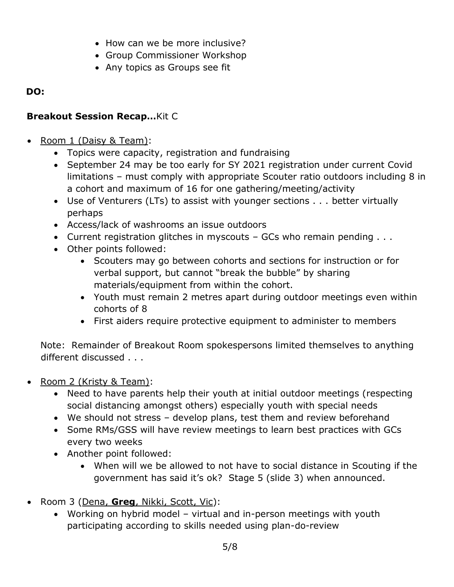- How can we be more inclusive?
- Group Commissioner Workshop
- Any topics as Groups see fit

## **DO:**

# **Breakout Session Recap…**Kit C

- Room 1 (Daisy & Team):
	- Topics were capacity, registration and fundraising
	- September 24 may be too early for SY 2021 registration under current Covid limitations – must comply with appropriate Scouter ratio outdoors including 8 in a cohort and maximum of 16 for one gathering/meeting/activity
	- Use of Venturers (LTs) to assist with younger sections . . . better virtually perhaps
	- Access/lack of washrooms an issue outdoors
	- Current registration glitches in myscouts  $-$  GCs who remain pending  $\ldots$
	- Other points followed:
		- Scouters may go between cohorts and sections for instruction or for verbal support, but cannot "break the bubble" by sharing materials/equipment from within the cohort.
		- Youth must remain 2 metres apart during outdoor meetings even within cohorts of 8
		- First aiders require protective equipment to administer to members

Note: Remainder of Breakout Room spokespersons limited themselves to anything different discussed . . .

- Room 2 (Kristy & Team):
	- Need to have parents help their youth at initial outdoor meetings (respecting social distancing amongst others) especially youth with special needs
	- We should not stress develop plans, test them and review beforehand
	- Some RMs/GSS will have review meetings to learn best practices with GCs every two weeks
	- Another point followed:
		- When will we be allowed to not have to social distance in Scouting if the government has said it's ok? Stage 5 (slide 3) when announced.
- Room 3 (Dena, **Greg**, Nikki, Scott, Vic):
	- Working on hybrid model virtual and in-person meetings with youth participating according to skills needed using plan-do-review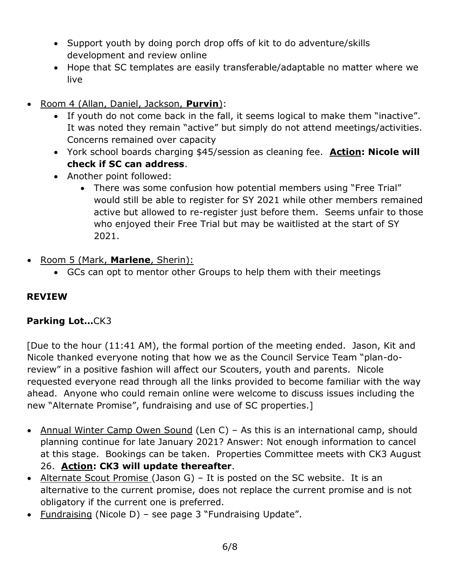- Support youth by doing porch drop offs of kit to do adventure/skills development and review online
- Hope that SC templates are easily transferable/adaptable no matter where we live
- Room 4 (Allan, Daniel, Jackson, **Purvin**):
	- If youth do not come back in the fall, it seems logical to make them "inactive". It was noted they remain "active" but simply do not attend meetings/activities. Concerns remained over capacity
	- York school boards charging \$45/session as cleaning fee. **Action: Nicole will check if SC can address**.
	- Another point followed:
		- There was some confusion how potential members using "Free Trial" would still be able to register for SY 2021 while other members remained active but allowed to re-register just before them. Seems unfair to those who enjoyed their Free Trial but may be waitlisted at the start of SY 2021.
- Room 5 (Mark, **Marlene**, Sherin):
	- GCs can opt to mentor other Groups to help them with their meetings

#### **REVIEW**

#### **Parking Lot…**CK3

[Due to the hour (11:41 AM), the formal portion of the meeting ended. Jason, Kit and Nicole thanked everyone noting that how we as the Council Service Team "plan-doreview" in a positive fashion will affect our Scouters, youth and parents. Nicole requested everyone read through all the links provided to become familiar with the way ahead. Anyone who could remain online were welcome to discuss issues including the new "Alternate Promise", fundraising and use of SC properties.]

- Annual Winter Camp Owen Sound (Len C) As this is an international camp, should planning continue for late January 2021? Answer: Not enough information to cancel at this stage. Bookings can be taken. Properties Committee meets with CK3 August 26. **Action: CK3 will update thereafter**.
- Alternate Scout Promise (Jason G) It is posted on the SC website. It is an alternative to the current promise, does not replace the current promise and is not obligatory if the current one is preferred.
- Fundraising (Nicole D) see page 3 "Fundraising Update".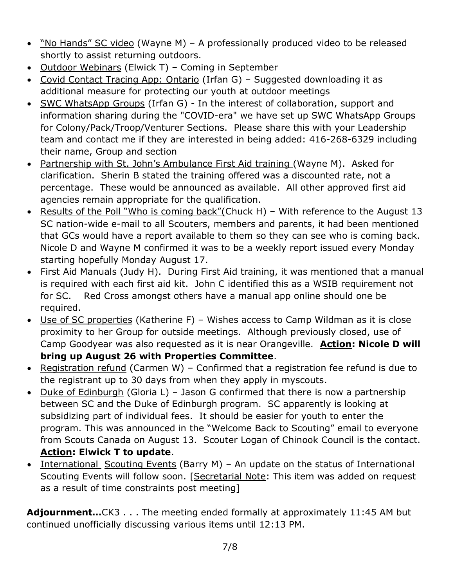- "No Hands" SC video (Wayne M) A professionally produced video to be released shortly to assist returning outdoors.
- Outdoor Webinars (Elwick T) Coming in September
- Covid Contact Tracing App: Ontario (Irfan G) Suggested downloading it as additional measure for protecting our youth at outdoor meetings
- SWC WhatsApp Groups (Irfan G) In the interest of collaboration, support and information sharing during the "COVID-era" we have set up SWC WhatsApp Groups for Colony/Pack/Troop/Venturer Sections. Please share this with your Leadership team and contact me if they are interested in being added: 416-268-6329 including their name, Group and section
- Partnership with St. John's Ambulance First Aid training (Wayne M). Asked for clarification. Sherin B stated the training offered was a discounted rate, not a percentage. These would be announced as available. All other approved first aid agencies remain appropriate for the qualification.
- Results of the Poll "Who is coming back"(Chuck H) With reference to the August 13 SC nation-wide e-mail to all Scouters, members and parents, it had been mentioned that GCs would have a report available to them so they can see who is coming back. Nicole D and Wayne M confirmed it was to be a weekly report issued every Monday starting hopefully Monday August 17.
- First Aid Manuals (Judy H). During First Aid training, it was mentioned that a manual is required with each first aid kit. John C identified this as a WSIB requirement not for SC. Red Cross amongst others have a manual app online should one be required.
- Use of SC properties (Katherine F) Wishes access to Camp Wildman as it is close proximity to her Group for outside meetings. Although previously closed, use of Camp Goodyear was also requested as it is near Orangeville. **Action: Nicole D will bring up August 26 with Properties Committee**.
- Registration refund (Carmen W) Confirmed that a registration fee refund is due to the registrant up to 30 days from when they apply in myscouts.
- Duke of Edinburgh (Gloria L) Jason G confirmed that there is now a partnership between SC and the Duke of Edinburgh program. SC apparently is looking at subsidizing part of individual fees. It should be easier for youth to enter the program. This was announced in the "Welcome Back to Scouting" email to everyone from Scouts Canada on August 13. Scouter Logan of Chinook Council is the contact. **Action: Elwick T to update**.
- International Scouting Events (Barry M) An update on the status of International Scouting Events will follow soon. [Secretarial Note: This item was added on request as a result of time constraints post meeting]

**Adjournment…**CK3 . . . The meeting ended formally at approximately 11:45 AM but continued unofficially discussing various items until 12:13 PM.